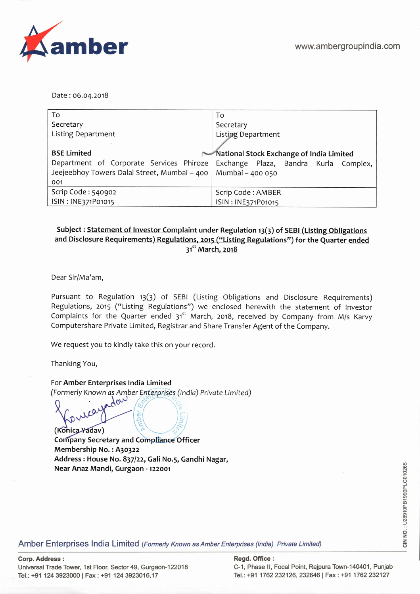

Date: 06.04.2018

| To                                           | To                                       |  |  |
|----------------------------------------------|------------------------------------------|--|--|
| Secretary                                    | Secretary                                |  |  |
| <b>Listing Department</b>                    | <b>Listing Department</b>                |  |  |
|                                              |                                          |  |  |
| <b>BSE Limited</b>                           | National Stock Exchange of India Limited |  |  |
| Department of Corporate Services Phiroze     | Exchange Plaza, Bandra Kurla Complex,    |  |  |
| Jeejeebhoy Towers Dalal Street, Mumbai - 400 | Mumbai - 400 050                         |  |  |
| 001                                          |                                          |  |  |
| Scrip Code: 540902                           | Scrip Code: AMBER                        |  |  |
| ISIN: INE371P01015                           | ISIN: INE371P01015                       |  |  |

## Subject : Statement of Investor Complaint under Regulation 13(3) of SEBI (Listing Obligations and Disclosure Requirements) Regulations, 2015 ("Listing Regulations") for the Quarter ended **31st March, 2018**

Dear Sir/Ma'am,

Pursuant to Regulation 13(3) of SEBI (Listing Obligations and Disclosure Requirements) Regulations, 2015 ("Listing Regulations") we enclosed herewith the statement of Investor Complaints for the Quarter ended  $31<sup>st</sup>$  March, 2018, received by Company from M/s Karvy Computershare Private Limited, Registrar and Share Transfer Agent of the Company.

We request you to kindly take this on your record.

Thanking You,

For **Amber Enterprises India Limited** 

(Formerly Known as Amber Enterprises (India) Private Limited)<br>  $\bigcirc$ car ber

**(Konica Yadav) Company Secretary and Compliance Officer Membership No. : A3o322 Address: House No.** 837/22, **Gall No.5, Gandhi Nagar, Near Anaz Mandi, Gurgaon** - 122001

Amber Enterprises India Limited (Formerly Known as Amber Enterprises (India) Private Limited)